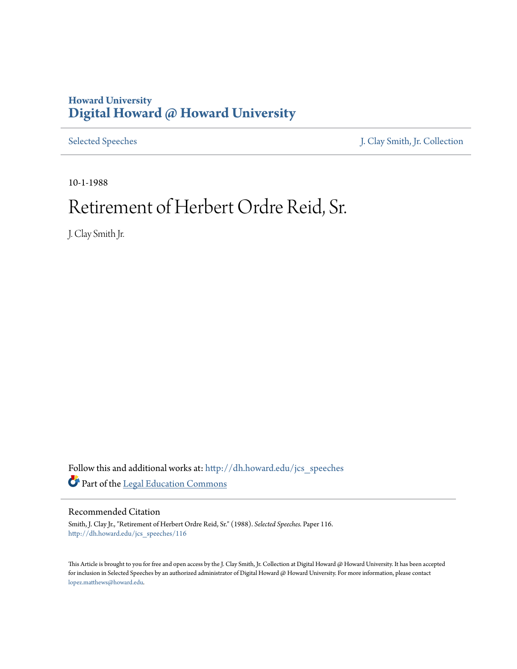# **Howard University [Digital Howard @ Howard University](http://dh.howard.edu?utm_source=dh.howard.edu%2Fjcs_speeches%2F116&utm_medium=PDF&utm_campaign=PDFCoverPages)**

[Selected Speeches](http://dh.howard.edu/jcs_speeches?utm_source=dh.howard.edu%2Fjcs_speeches%2F116&utm_medium=PDF&utm_campaign=PDFCoverPages) [J. Clay Smith, Jr. Collection](http://dh.howard.edu/jcsmith?utm_source=dh.howard.edu%2Fjcs_speeches%2F116&utm_medium=PDF&utm_campaign=PDFCoverPages)

10-1-1988

# Retirement of Herbert Ordre Reid, Sr.

J. Clay Smith Jr.

Follow this and additional works at: [http://dh.howard.edu/jcs\\_speeches](http://dh.howard.edu/jcs_speeches?utm_source=dh.howard.edu%2Fjcs_speeches%2F116&utm_medium=PDF&utm_campaign=PDFCoverPages) Part of the [Legal Education Commons](http://network.bepress.com/hgg/discipline/857?utm_source=dh.howard.edu%2Fjcs_speeches%2F116&utm_medium=PDF&utm_campaign=PDFCoverPages)

## Recommended Citation

Smith, J. Clay Jr., "Retirement of Herbert Ordre Reid, Sr." (1988). *Selected Speeches.* Paper 116. [http://dh.howard.edu/jcs\\_speeches/116](http://dh.howard.edu/jcs_speeches/116?utm_source=dh.howard.edu%2Fjcs_speeches%2F116&utm_medium=PDF&utm_campaign=PDFCoverPages)

This Article is brought to you for free and open access by the J. Clay Smith, Jr. Collection at Digital Howard @ Howard University. It has been accepted for inclusion in Selected Speeches by an authorized administrator of Digital Howard @ Howard University. For more information, please contact [lopez.matthews@howard.edu.](mailto:lopez.matthews@howard.edu)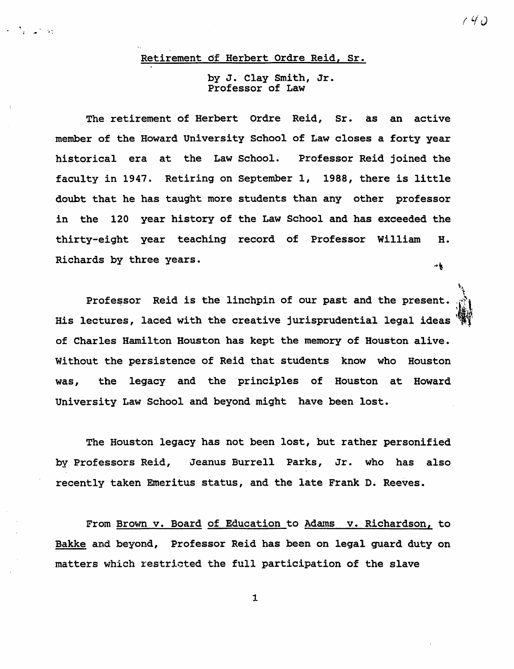### Retirement of Herbert Ordre Reid, Sr.

### by J. Clay Smith, Jr. Professor of Law

 $1$  4  $0$ 

The retirement of Herbert Ordre Reid, Sr. as an active member of the Howard University School of Law closes a forty year historical era at the Law School. Professor Reid joined the faculty in 1947. Retiring on September 1, 1988, there is little doubt that he has taught more students than any other professor in the 120 year history of the Law School and has exceeded the thirty-eight year teaching record of Professor William H. Richards by three years.  $\rightarrow \frac{1}{2}$ 

Professor Reid is the linchpin of our past and the present. His lectures, laced with the creative jurisprudential legal ideas of Charles Hamilton Houston has kept the memory of Houston alive. Without the persistence of Reid that students know who Houston was, the legacy and the principles of Houston at Howard University Law School and beyond might have been lost.

The Houston legacy has not been lost, but rather personified by Professors Reid, Jeanus Burrell Parks, Jr. who has also recently taken Emeritus status, and the late Frank D. Reeves.

From Brown v. Board of Education to Admns v. Richardson, to Bakke and beyond, Professor Reid has been on legal guard duty on matters which restricted the full participation of the slave

1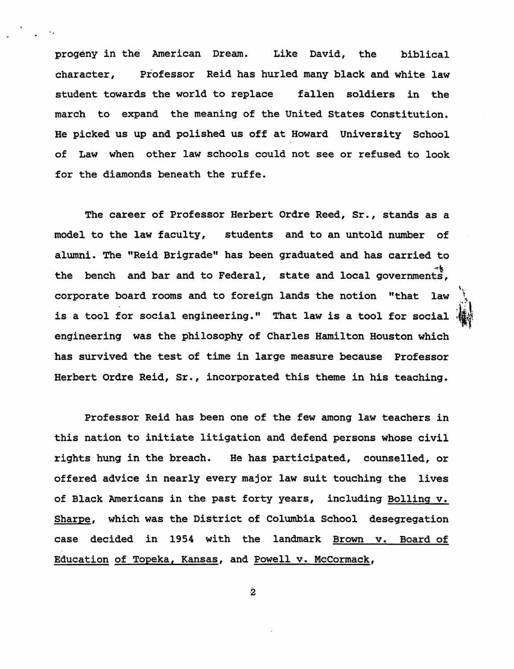progeny in the" American Dream. Like David, the biblical character, Professor Reid has hurled many black and white law student towards the world to replace fallen soldiers in the march to expand the meaning of the United States Constitution. He picked us up and polished us off at Howard University School of Law when other law schools could not see or refused to look for the diamonds beneath the ruffe.

The career of Professor Herbert Ordre Reed, Sr., stands as a model to the law faculty, students and to an untold number of alwnni. The "Reid Brigrade" has been graduated and has carried to the bench and bar and to Federal, state and local governments, is a tool for social engineering." That law is a tool for social  $\frac{1}{2}$ corporate board rooms and to foreign lands the notion "that law  $\frac{1}{\sqrt{2}}$ engineering was the philosophy of Charles Hamilton Houston which has survived the test of time in large measure because Professor Herbert Ordre Reid, Sr., incorporated this theme in his teaching.

 $\mathbf{v}_i$ 

Professor Reid has been one of the few among law teachers in this nation to initiate litigation and defend persons whose civil rights hung in the breach. He has participated, counselled, or offered advice in nearly every major law suit touching the lives of Black Americans in the past forty years, including Bolling v. Sharpe, which was the District of Columbia School desegregation case decided in 1954 with the landmark Brown v. Board of Education of Topeka, Kansas, and Powell v. McCormack,

"2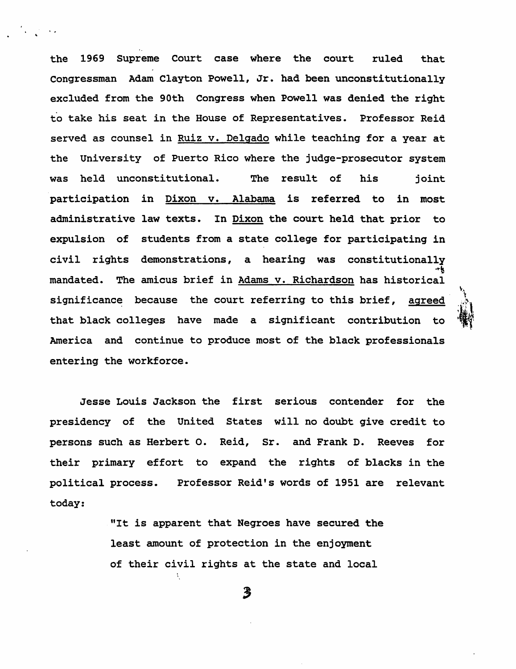the 1969 Supreme court case where the court ruled that Congressman Adam Clayton Powell, Jr. had been unconstitutionally excluded from the 90th Congress when Powell was denied the right to take his seat in the House of Representatives. Professor Reid served as counsel in Ruiz v. Delgado while teaching for a year at the University of Puerto Rico where the judge-prosecutor system was held unconstitutional. The result of his joint participation in Dixon v. Alabama is referred to in most administrative law texts. In Dixon the court held that prior to expulsion of students from a state college for participating in civil rights demonstrations, a hearing was constitutionally ~~ mandated. The amicus brief in Adams v. Richardson has historical significance because the court referring to this brief, agreed that black colleges have made a significant contribution to America and continue to produce most of the black professionals entering the workforce.

 $\mathbf{v}_\mathrm{a}$ ., .~  $\mathcal{P}_1$  $\mathbf{R}$  $\mathbf{F}$ 

· ,

Jesse Louis Jackson the first serious contender for the presidency of the United States will no doubt give credit to persons such as Herbert o. Reid, Sr. and Frank D. Reeves for their primary effort to expand the rights of blacks in the political process. Professor Reid's words of 1951 are relevant today:

> "It is apparent that Negroes have secured the least amount of protection in the enjoyment of their civil rights at the state and local

> > $\boldsymbol{\beta}$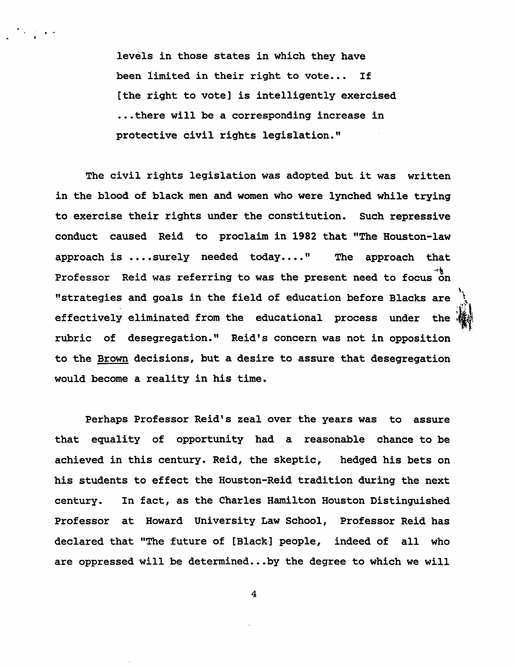levels in those states in which they have been limited in their right to vote... If [the right to vote] is intelligently exercised ... there will be a corresponding increase in protective civil rights legislation."

The civil rights legislation was adopted. but it was written in the blood of black men and women who were lynched while trying to exercise their rights under the constitution. Such repressive conduct caused Reid to proclaim in 1982 that "The Houston-law approach is  $\ldots$  surely needed today...." The approach that Professor Reid was referring to was the present need to focus on "strategies and goals in the field of education before Blacks are effectively eliminated from the educational process under the  $\frac{1600}{1600}$ rubric of desegregation." Reid's concern was not in opposition to the Brown decisions, but a desire to assure that desegregation would become a reality in his time.

Perhaps Professor Reid's zeal over the years was to assure that equality of opportunity had a reasonable chance to be achieved in this century. Reid, the skeptic, hedged his bets on his students to effect the Houston-Reid tradition during the next century. In fact, as the Charles Hamilton Houston Distinguished Professor at Howard University Law School, Professor Reid has declared that "The future of [Black] people, indeed of all who are oppressed will be determined...by the degree to which we will

4